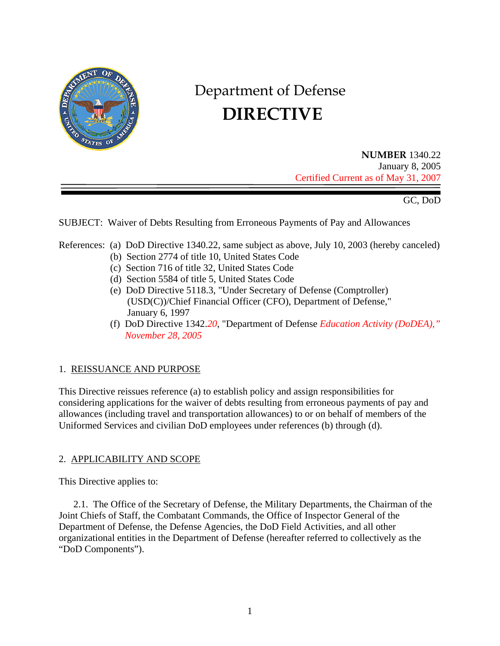

# Department of Defense  **DIRECTIVE**

**NUMBER** 1340.22 January 8, 2005 Certified Current as of May 31, 2007

GC, DoD

SUBJECT: Waiver of Debts Resulting from Erroneous Payments of Pay and Allowances

# References: (a) DoD Directive 1340.22, same subject as above, July 10, 2003 (hereby canceled)

- (b) Section 2774 of title 10, United States Code
- (c) Section 716 of title 32, United States Code
- (d) Section 5584 of title 5, United States Code
- (e) DoD Directive 5118.3, "Under Secretary of Defense (Comptroller) (USD(C))/Chief Financial Officer (CFO), Department of Defense," January 6, 1997
- (f) DoD Directive 1342.*20*, "Department of Defense *Education Activity (DoDEA)," November 28, 2005*

# 1. REISSUANCE AND PURPOSE

This Directive reissues reference (a) to establish policy and assign responsibilities for considering applications for the waiver of debts resulting from erroneous payments of pay and allowances (including travel and transportation allowances) to or on behalf of members of the Uniformed Services and civilian DoD employees under references (b) through (d).

# 2. APPLICABILITY AND SCOPE

This Directive applies to:

 2.1. The Office of the Secretary of Defense, the Military Departments, the Chairman of the Joint Chiefs of Staff, the Combatant Commands, the Office of Inspector General of the Department of Defense, the Defense Agencies, the DoD Field Activities, and all other organizational entities in the Department of Defense (hereafter referred to collectively as the "DoD Components").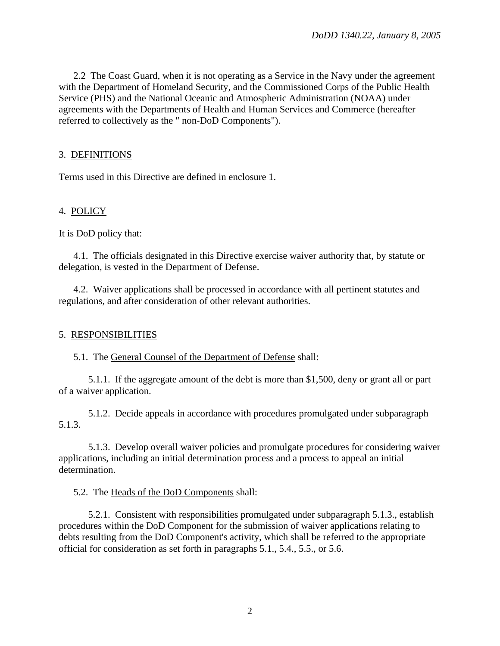2.2 The Coast Guard, when it is not operating as a Service in the Navy under the agreement with the Department of Homeland Security, and the Commissioned Corps of the Public Health Service (PHS) and the National Oceanic and Atmospheric Administration (NOAA) under agreements with the Departments of Health and Human Services and Commerce (hereafter referred to collectively as the " non-DoD Components").

## 3. DEFINITIONS

Terms used in this Directive are defined in enclosure 1.

## 4. POLICY

It is DoD policy that:

4.1. The officials designated in this Directive exercise waiver authority that, by statute or delegation, is vested in the Department of Defense.

4.2. Waiver applications shall be processed in accordance with all pertinent statutes and regulations, and after consideration of other relevant authorities.

#### 5. RESPONSIBILITIES

5.1. The General Counsel of the Department of Defense shall:

5.1.1. If the aggregate amount of the debt is more than \$1,500, deny or grant all or part of a waiver application.

5.1.2. Decide appeals in accordance with procedures promulgated under subparagraph 5.1.3.

5.1.3. Develop overall waiver policies and promulgate procedures for considering waiver applications, including an initial determination process and a process to appeal an initial determination.

5.2. The Heads of the DoD Components shall:

5.2.1. Consistent with responsibilities promulgated under subparagraph 5.1.3., establish procedures within the DoD Component for the submission of waiver applications relating to debts resulting from the DoD Component's activity, which shall be referred to the appropriate official for consideration as set forth in paragraphs 5.1., 5.4., 5.5., or 5.6.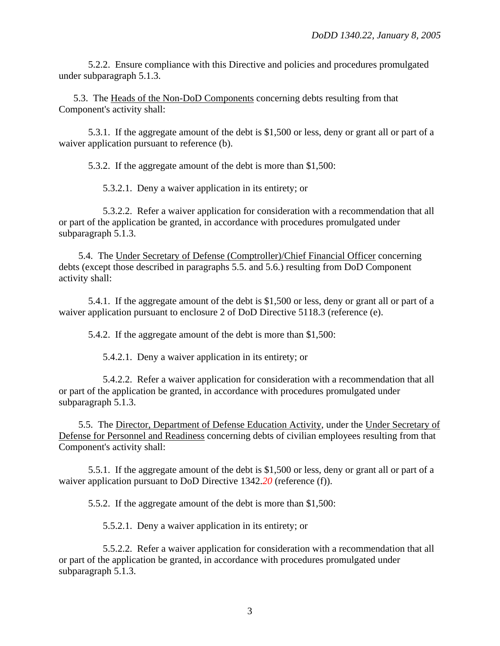5.2.2. Ensure compliance with this Directive and policies and procedures promulgated under subparagraph 5.1.3.

5.3. The Heads of the Non-DoD Components concerning debts resulting from that Component's activity shall:

 5.3.1. If the aggregate amount of the debt is \$1,500 or less, deny or grant all or part of a waiver application pursuant to reference (b).

5.3.2. If the aggregate amount of the debt is more than \$1,500:

5.3.2.1. Deny a waiver application in its entirety; or

5.3.2.2. Refer a waiver application for consideration with a recommendation that all or part of the application be granted, in accordance with procedures promulgated under subparagraph 5.1.3.

5.4. The Under Secretary of Defense (Comptroller)/Chief Financial Officer concerning debts (except those described in paragraphs 5.5. and 5.6.) resulting from DoD Component activity shall:

 5.4.1. If the aggregate amount of the debt is \$1,500 or less, deny or grant all or part of a waiver application pursuant to enclosure 2 of DoD Directive 5118.3 (reference (e).

5.4.2. If the aggregate amount of the debt is more than \$1,500:

5.4.2.1. Deny a waiver application in its entirety; or

5.4.2.2. Refer a waiver application for consideration with a recommendation that all or part of the application be granted, in accordance with procedures promulgated under subparagraph 5.1.3.

5.5. The Director, Department of Defense Education Activity, under the Under Secretary of Defense for Personnel and Readiness concerning debts of civilian employees resulting from that Component's activity shall:

 5.5.1. If the aggregate amount of the debt is \$1,500 or less, deny or grant all or part of a waiver application pursuant to DoD Directive 1342.*20* (reference (f)).

5.5.2. If the aggregate amount of the debt is more than \$1,500:

5.5.2.1. Deny a waiver application in its entirety; or

5.5.2.2. Refer a waiver application for consideration with a recommendation that all or part of the application be granted, in accordance with procedures promulgated under subparagraph 5.1.3.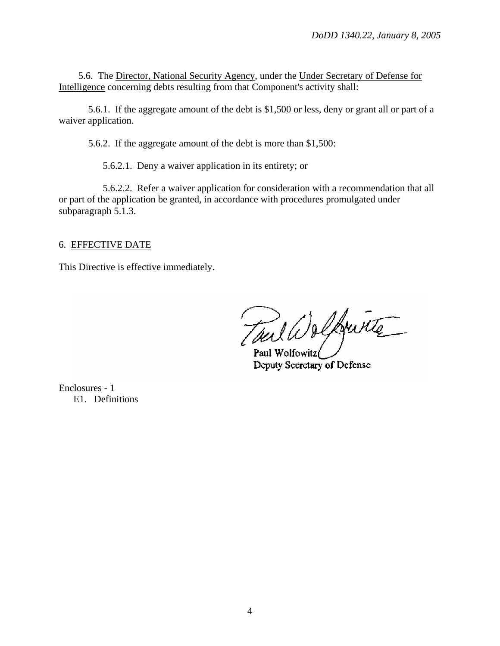5.6. The Director, National Security Agency, under the Under Secretary of Defense for Intelligence concerning debts resulting from that Component's activity shall:

5.6.1. If the aggregate amount of the debt is \$1,500 or less, deny or grant all or part of a waiver application.

5.6.2. If the aggregate amount of the debt is more than \$1,500:

5.6.2.1. Deny a waiver application in its entirety; or

5.6.2.2. Refer a waiver application for consideration with a recommendation that all or part of the application be granted, in accordance with procedures promulgated under subparagraph 5.1.3.

#### 6. EFFECTIVE DATE

This Directive is effective immediately.

Toul Deffuite

Paul Wolfowitz Deputy Secretary of Defense

Enclosures - 1 E1. Definitions